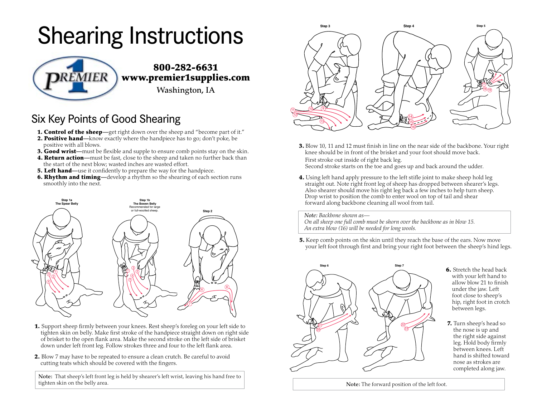## Shearing Instructions



## Six Key Points of Good Shearing

- 1. Control of the sheep-get right down over the sheep and "become part of it."
- **2. Positive hand**—know exactly where the handpiece has to go; don't poke, be positive with all blows.
- **3. Good wrist**—must be flexible and supple to ensure comb points stay on the skin.
- **4. Return action**—must be fast, close to the sheep and taken no further back than the start of the next blow; wasted inches are wasted effort.
- **5. Left hand—use it confidently to prepare the way for the handpiece.**
- **6. Rhythm and timing—develop a rhythm so the shearing of each section runs** smoothly into the next.



- 1. Support sheep firmly between your knees. Rest sheep's foreleg on your left side to tighten skin on belly. Make first stroke of the handpiece straight down on right side of brisket to the open flank area. Make the second stroke on the left side of brisket down under left front leg. Follow strokes three and four to the left flank area.
- 2. Blow 7 may have to be repeated to ensure a clean crutch. Be careful to avoid cutting teats which should be covered with the fingers.

Note: That sheep's left front leg is held by shearer's left wrist, leaving his hand free to tighten skin on the belly area.



- 3. Blow 10, 11 and 12 must finish in line on the near side of the backbone. Your right knee should be in front of the brisket and your foot should move back. First stroke out inside of right back leg. Second stroke starts on the toe and goes up and back around the udder.
- Drop wrist to position the comb to enter wool on top of tail and shear forward along backbone cleaning all wool from tail. 4. Using left hand apply pressure to the left stifle joint to make sheep hold leg straight out. Note right front leg of sheep has dropped between shearer's legs. Also shearer should move his right leg back a few inches to help turn sheep.

*Note: Backbone shown as—*

*On all sheep one full comb must be shorn over the backbone as in blow 15. An extra blow (16) will be needed for long wools.*

**5.** Keep comb points on the skin until they reach the base of the ears. Now move your left foot through first and bring your right foot between the sheep's hind legs.



6. Stretch the head back with your left hand to allow blow 21 to finish under the jaw. Left foot close to sheep's hip, right foot in crotch between legs.

7. Turn sheep's head so the nose is up and the right side against leg. Hold body firmly between knees. Left hand is shifted toward nose as strokes are completed along jaw.

Note: The forward position of the left foot.